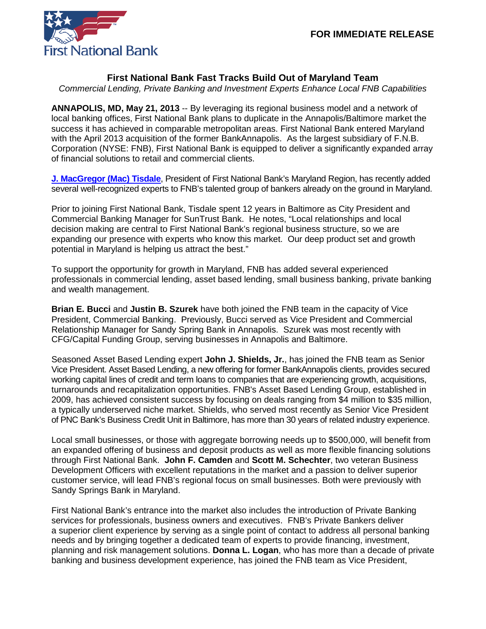

## **First National Bank Fast Tracks Build Out of Maryland Team**

*Commercial Lending, Private Banking and Investment Experts Enhance Local FNB Capabilities*

**ANNAPOLIS, MD, May 21, 2013** -- By leveraging its regional business model and a network of local banking offices, First National Bank plans to duplicate in the Annapolis/Baltimore market the success it has achieved in comparable metropolitan areas. First National Bank entered Maryland with the April 2013 acquisition of the former BankAnnapolis. As the largest subsidiary of F.N.B. Corporation (NYSE: FNB), First National Bank is equipped to deliver a significantly expanded array of financial solutions to retail and commercial clients.

**[J. MacGregor \(Mac\) Tisdale](https://www.fnb-online.com/News/2013/January/January172013.aspx)**, President of First National Bank's Maryland Region, has recently added several well-recognized experts to FNB's talented group of bankers already on the ground in Maryland.

Prior to joining First National Bank, Tisdale spent 12 years in Baltimore as City President and Commercial Banking Manager for SunTrust Bank. He notes, "Local relationships and local decision making are central to First National Bank's regional business structure, so we are expanding our presence with experts who know this market. Our deep product set and growth potential in Maryland is helping us attract the best."

To support the opportunity for growth in Maryland, FNB has added several experienced professionals in commercial lending, asset based lending, small business banking, private banking and wealth management.

**Brian E. Bucci** and **Justin B. Szurek** have both joined the FNB team in the capacity of Vice President, Commercial Banking. Previously, Bucci served as Vice President and Commercial Relationship Manager for Sandy Spring Bank in Annapolis. Szurek was most recently with CFG/Capital Funding Group, serving businesses in Annapolis and Baltimore.

Seasoned Asset Based Lending expert **John J. Shields, Jr.**, has joined the FNB team as Senior Vice President. Asset Based Lending, a new offering for former BankAnnapolis clients, provides secured working capital lines of credit and term loans to companies that are experiencing growth, acquisitions, turnarounds and recapitalization opportunities. FNB's Asset Based Lending Group, established in 2009, has achieved consistent success by focusing on deals ranging from \$4 million to \$35 million, a typically underserved niche market. Shields, who served most recently as Senior Vice President of PNC Bank's Business Credit Unit in Baltimore, has more than 30 years of related industry experience.

Local small businesses, or those with aggregate borrowing needs up to \$500,000, will benefit from an expanded offering of business and deposit products as well as more flexible financing solutions through First National Bank. **John F. Camden** and **Scott M. Schechter**, two veteran Business Development Officers with excellent reputations in the market and a passion to deliver superior customer service, will lead FNB's regional focus on small businesses. Both were previously with Sandy Springs Bank in Maryland.

First National Bank's entrance into the market also includes the introduction of Private Banking services for professionals, business owners and executives. FNB's Private Bankers deliver a superior client experience by serving as a single point of contact to address all personal banking needs and by bringing together a dedicated team of experts to provide financing, investment, planning and risk management solutions. **Donna L. Logan**, who has more than a decade of private banking and business development experience, has joined the FNB team as Vice President,